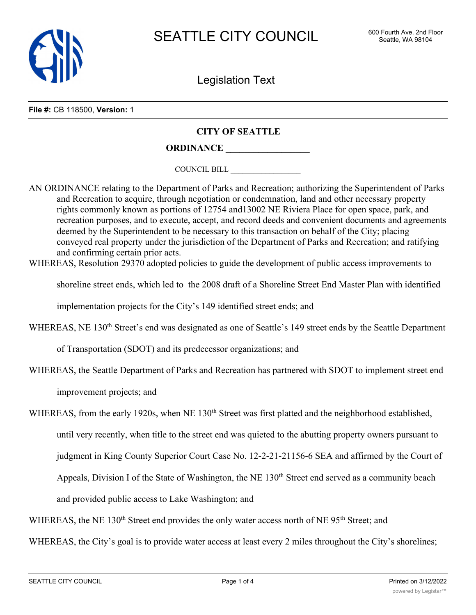

Legislation Text

**File #:** CB 118500, **Version:** 1

## **CITY OF SEATTLE**

**ORDINANCE \_\_\_\_\_\_\_\_\_\_\_\_\_\_\_\_\_\_**

COUNCIL BILL \_\_\_\_\_\_\_\_\_\_\_\_\_\_\_\_\_\_

AN ORDINANCE relating to the Department of Parks and Recreation; authorizing the Superintendent of Parks and Recreation to acquire, through negotiation or condemnation, land and other necessary property rights commonly known as portions of 12754 and13002 NE Riviera Place for open space, park, and recreation purposes, and to execute, accept, and record deeds and convenient documents and agreements deemed by the Superintendent to be necessary to this transaction on behalf of the City; placing conveyed real property under the jurisdiction of the Department of Parks and Recreation; and ratifying and confirming certain prior acts.

WHEREAS, Resolution 29370 adopted policies to guide the development of public access improvements to

shoreline street ends, which led to the 2008 draft of a Shoreline Street End Master Plan with identified

implementation projects for the City's 149 identified street ends; and

WHEREAS, NE 130<sup>th</sup> Street's end was designated as one of Seattle's 149 street ends by the Seattle Department

of Transportation (SDOT) and its predecessor organizations; and

WHEREAS, the Seattle Department of Parks and Recreation has partnered with SDOT to implement street end

improvement projects; and

WHEREAS, from the early 1920s, when NE 130<sup>th</sup> Street was first platted and the neighborhood established,

until very recently, when title to the street end was quieted to the abutting property owners pursuant to

judgment in King County Superior Court Case No. 12-2-21-21156-6 SEA and affirmed by the Court of

Appeals, Division I of the State of Washington, the NE 130<sup>th</sup> Street end served as a community beach

and provided public access to Lake Washington; and

WHEREAS, the NE 130<sup>th</sup> Street end provides the only water access north of NE 95<sup>th</sup> Street; and

WHEREAS, the City's goal is to provide water access at least every 2 miles throughout the City's shorelines;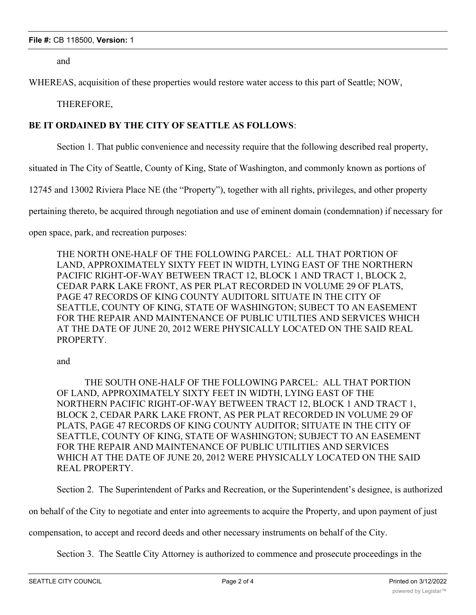and

WHEREAS, acquisition of these properties would restore water access to this part of Seattle; NOW,

THEREFORE,

## **BE IT ORDAINED BY THE CITY OF SEATTLE AS FOLLOWS**:

Section 1. That public convenience and necessity require that the following described real property,

situated in The City of Seattle, County of King, State of Washington, and commonly known as portions of

12745 and 13002 Riviera Place NE (the "Property"), together with all rights, privileges, and other property

pertaining thereto, be acquired through negotiation and use of eminent domain (condemnation) if necessary for

open space, park, and recreation purposes:

THE NORTH ONE-HALF OF THE FOLLOWING PARCEL: ALL THAT PORTION OF LAND, APPROXIMATELY SIXTY FEET IN WIDTH, LYING EAST OF THE NORTHERN PACIFIC RIGHT-OF-WAY BETWEEN TRACT 12, BLOCK 1 AND TRACT 1, BLOCK 2, CEDAR PARK LAKE FRONT, AS PER PLAT RECORDED IN VOLUME 29 OF PLATS, PAGE 47 RECORDS OF KING COUNTY AUDITORL SITUATE IN THE CITY OF SEATTLE, COUNTY OF KING, STATE OF WASHINGTON; SUBECT TO AN EASEMENT FOR THE REPAIR AND MAINTENANCE OF PUBLIC UTILTIES AND SERVICES WHICH AT THE DATE OF JUNE 20, 2012 WERE PHYSICALLY LOCATED ON THE SAID REAL PROPERTY.

and

THE SOUTH ONE-HALF OF THE FOLLOWING PARCEL: ALL THAT PORTION OF LAND, APPROXIMATELY SIXTY FEET IN WIDTH, LYING EAST OF THE NORTHERN PACIFIC RIGHT-OF-WAY BETWEEN TRACT 12, BLOCK 1 AND TRACT 1, BLOCK 2, CEDAR PARK LAKE FRONT, AS PER PLAT RECORDED IN VOLUME 29 OF PLATS, PAGE 47 RECORDS OF KING COUNTY AUDITOR; SITUATE IN THE CITY OF SEATTLE, COUNTY OF KING, STATE OF WASHINGTON; SUBJECT TO AN EASEMENT FOR THE REPAIR AND MAINTENANCE OF PUBLIC UTILITIES AND SERVICES WHICH AT THE DATE OF JUNE 20, 2012 WERE PHYSICALLY LOCATED ON THE SAID REAL PROPERTY.

Section 2. The Superintendent of Parks and Recreation, or the Superintendent's designee, is authorized

on behalf of the City to negotiate and enter into agreements to acquire the Property, and upon payment of just

compensation, to accept and record deeds and other necessary instruments on behalf of the City.

Section 3. The Seattle City Attorney is authorized to commence and prosecute proceedings in the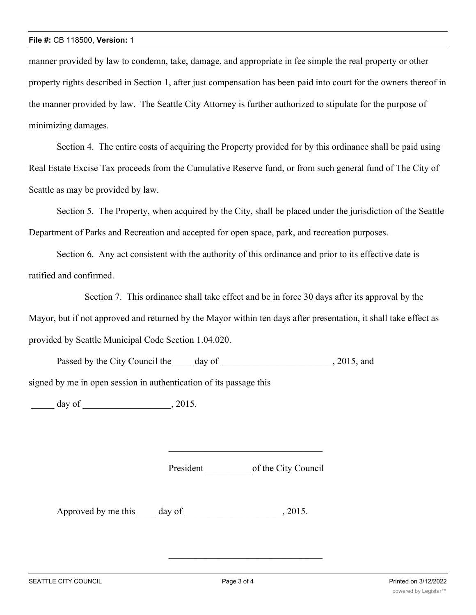manner provided by law to condemn, take, damage, and appropriate in fee simple the real property or other property rights described in Section 1, after just compensation has been paid into court for the owners thereof in the manner provided by law. The Seattle City Attorney is further authorized to stipulate for the purpose of minimizing damages.

Section 4. The entire costs of acquiring the Property provided for by this ordinance shall be paid using Real Estate Excise Tax proceeds from the Cumulative Reserve fund, or from such general fund of The City of Seattle as may be provided by law.

Section 5. The Property, when acquired by the City, shall be placed under the jurisdiction of the Seattle Department of Parks and Recreation and accepted for open space, park, and recreation purposes.

Section 6. Any act consistent with the authority of this ordinance and prior to its effective date is ratified and confirmed.

Section 7. This ordinance shall take effect and be in force 30 days after its approval by the Mayor, but if not approved and returned by the Mayor within ten days after presentation, it shall take effect as provided by Seattle Municipal Code Section 1.04.020.

Passed by the City Council the \_\_\_\_\_ day of \_\_\_\_\_\_\_\_\_\_\_\_\_\_\_\_\_\_\_\_\_\_, 2015, and

signed by me in open session in authentication of its passage this

 $\frac{1}{2015}$  day of  $\frac{1}{2015}$ .

President \_\_\_\_\_\_\_\_\_\_of the City Council

Approved by me this day of 3015.